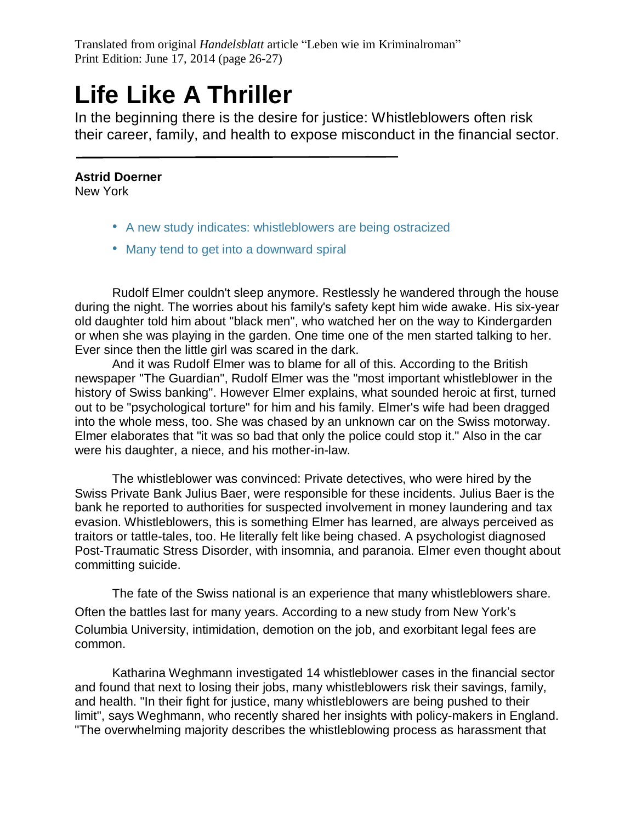## **Life Like A Thriller**

In the beginning there is the desire for justice: Whistleblowers often risk their career, family, and health to expose misconduct in the financial sector.

## **Astrid Doerner**

New York

- A new study indicates: whistleblowers are being ostracized
- Many tend to get into a downward spiral

Rudolf Elmer couldn't sleep anymore. Restlessly he wandered through the house during the night. The worries about his family's safety kept him wide awake. His six-year old daughter told him about "black men", who watched her on the way to Kindergarden or when she was playing in the garden. One time one of the men started talking to her. Ever since then the little girl was scared in the dark.

And it was Rudolf Elmer was to blame for all of this. According to the British newspaper "The Guardian", Rudolf Elmer was the "most important whistleblower in the history of Swiss banking". However Elmer explains, what sounded heroic at first, turned out to be "psychological torture" for him and his family. Elmer's wife had been dragged into the whole mess, too. She was chased by an unknown car on the Swiss motorway. Elmer elaborates that "it was so bad that only the police could stop it." Also in the car were his daughter, a niece, and his mother-in-law.

The whistleblower was convinced: Private detectives, who were hired by the Swiss Private Bank Julius Baer, were responsible for these incidents. Julius Baer is the bank he reported to authorities for suspected involvement in money laundering and tax evasion. Whistleblowers, this is something Elmer has learned, are always perceived as traitors or tattle-tales, too. He literally felt like being chased. A psychologist diagnosed Post-Traumatic Stress Disorder, with insomnia, and paranoia. Elmer even thought about committing suicide.

The fate of the Swiss national is an experience that many whistleblowers share. Often the battles last for many years. According to a new study from New York's Columbia University, intimidation, demotion on the job, and exorbitant legal fees are common.

Katharina Weghmann investigated 14 whistleblower cases in the financial sector and found that next to losing their jobs, many whistleblowers risk their savings, family, and health. "In their fight for justice, many whistleblowers are being pushed to their limit", says Weghmann, who recently shared her insights with policy-makers in England. "The overwhelming majority describes the whistleblowing process as harassment that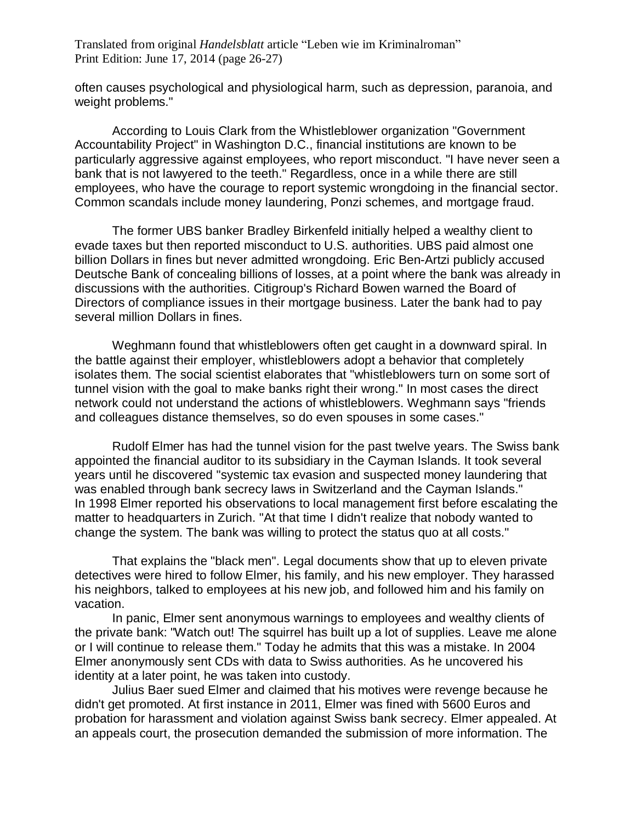often causes psychological and physiological harm, such as depression, paranoia, and weight problems."

According to Louis Clark from the Whistleblower organization "Government Accountability Project" in Washington D.C., financial institutions are known to be particularly aggressive against employees, who report misconduct. "I have never seen a bank that is not lawyered to the teeth." Regardless, once in a while there are still employees, who have the courage to report systemic wrongdoing in the financial sector. Common scandals include money laundering, Ponzi schemes, and mortgage fraud.

The former UBS banker Bradley Birkenfeld initially helped a wealthy client to evade taxes but then reported misconduct to U.S. authorities. UBS paid almost one billion Dollars in fines but never admitted wrongdoing. Eric Ben-Artzi publicly accused Deutsche Bank of concealing billions of losses, at a point where the bank was already in discussions with the authorities. Citigroup's Richard Bowen warned the Board of Directors of compliance issues in their mortgage business. Later the bank had to pay several million Dollars in fines.

Weghmann found that whistleblowers often get caught in a downward spiral. In the battle against their employer, whistleblowers adopt a behavior that completely isolates them. The social scientist elaborates that "whistleblowers turn on some sort of tunnel vision with the goal to make banks right their wrong." In most cases the direct network could not understand the actions of whistleblowers. Weghmann says "friends and colleagues distance themselves, so do even spouses in some cases."

Rudolf Elmer has had the tunnel vision for the past twelve years. The Swiss bank appointed the financial auditor to its subsidiary in the Cayman Islands. It took several years until he discovered "systemic tax evasion and suspected money laundering that was enabled through bank secrecy laws in Switzerland and the Cayman Islands." In 1998 Elmer reported his observations to local management first before escalating the matter to headquarters in Zurich. "At that time I didn't realize that nobody wanted to change the system. The bank was willing to protect the status quo at all costs."

That explains the "black men". Legal documents show that up to eleven private detectives were hired to follow Elmer, his family, and his new employer. They harassed his neighbors, talked to employees at his new job, and followed him and his family on vacation.

In panic, Elmer sent anonymous warnings to employees and wealthy clients of the private bank: "Watch out! The squirrel has built up a lot of supplies. Leave me alone or I will continue to release them." Today he admits that this was a mistake. In 2004 Elmer anonymously sent CDs with data to Swiss authorities. As he uncovered his identity at a later point, he was taken into custody.

Julius Baer sued Elmer and claimed that his motives were revenge because he didn't get promoted. At first instance in 2011, Elmer was fined with 5600 Euros and probation for harassment and violation against Swiss bank secrecy. Elmer appealed. At an appeals court, the prosecution demanded the submission of more information. The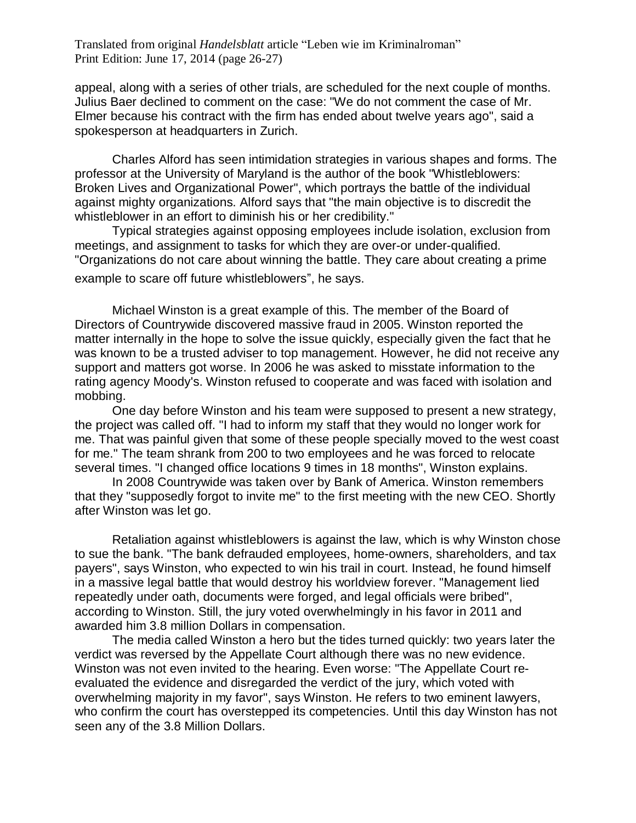appeal, along with a series of other trials, are scheduled for the next couple of months. Julius Baer declined to comment on the case: "We do not comment the case of Mr. Elmer because his contract with the firm has ended about twelve years ago", said a spokesperson at headquarters in Zurich.

Charles Alford has seen intimidation strategies in various shapes and forms. The professor at the University of Maryland is the author of the book "Whistleblowers: Broken Lives and Organizational Power", which portrays the battle of the individual against mighty organizations. Alford says that "the main objective is to discredit the whistleblower in an effort to diminish his or her credibility."

Typical strategies against opposing employees include isolation, exclusion from meetings, and assignment to tasks for which they are over-or under-qualified. "Organizations do not care about winning the battle. They care about creating a prime example to scare off future whistleblowers", he says.

Michael Winston is a great example of this. The member of the Board of Directors of Countrywide discovered massive fraud in 2005. Winston reported the matter internally in the hope to solve the issue quickly, especially given the fact that he was known to be a trusted adviser to top management. However, he did not receive any support and matters got worse. In 2006 he was asked to misstate information to the rating agency Moody's. Winston refused to cooperate and was faced with isolation and mobbing.

One day before Winston and his team were supposed to present a new strategy, the project was called off. "I had to inform my staff that they would no longer work for me. That was painful given that some of these people specially moved to the west coast for me." The team shrank from 200 to two employees and he was forced to relocate several times. "I changed office locations 9 times in 18 months", Winston explains.

In 2008 Countrywide was taken over by Bank of America. Winston remembers that they "supposedly forgot to invite me" to the first meeting with the new CEO. Shortly after Winston was let go.

Retaliation against whistleblowers is against the law, which is why Winston chose to sue the bank. "The bank defrauded employees, home-owners, shareholders, and tax payers", says Winston, who expected to win his trail in court. Instead, he found himself in a massive legal battle that would destroy his worldview forever. "Management lied repeatedly under oath, documents were forged, and legal officials were bribed", according to Winston. Still, the jury voted overwhelmingly in his favor in 2011 and awarded him 3.8 million Dollars in compensation.

The media called Winston a hero but the tides turned quickly: two years later the verdict was reversed by the Appellate Court although there was no new evidence. Winston was not even invited to the hearing. Even worse: "The Appellate Court reevaluated the evidence and disregarded the verdict of the jury, which voted with overwhelming majority in my favor", says Winston. He refers to two eminent lawyers, who confirm the court has overstepped its competencies. Until this day Winston has not seen any of the 3.8 Million Dollars.